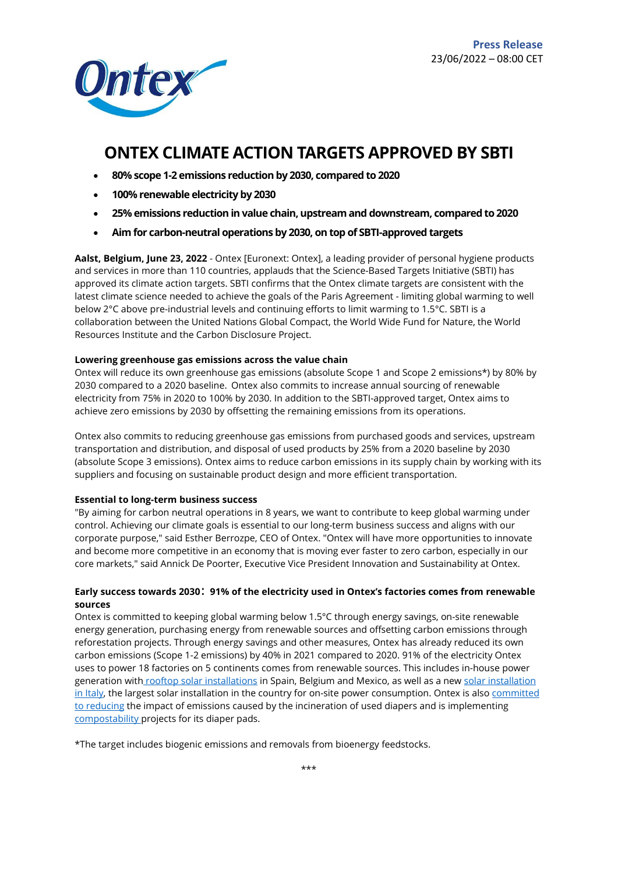

# **ONTEX CLIMATE ACTION TARGETS APPROVED BY SBTI**

- **80% scope 1-2 emissions reduction by 2030, compared to 2020**
- **100% renewable electricity by 2030**
- **25% emissions reduction in value chain, upstream and downstream, compared to 2020**
- **Aim for carbon-neutral operations by 2030, on top of SBTI-approved targets**

**Aalst, Belgium, June 23, 2022** - Ontex [Euronext: Ontex], a leading provider of personal hygiene products and services in more than 110 countries, applauds that the Science-Based Targets Initiative (SBTI) has approved its climate action targets. SBTI confirms that the Ontex climate targets are consistent with the latest climate science needed to achieve the goals of the Paris Agreement - limiting global warming to well below 2°C above pre-industrial levels and continuing efforts to limit warming to 1.5°C. SBTI is a collaboration between the United Nations Global Compact, the World Wide Fund for Nature, the World Resources Institute and the Carbon Disclosure Project.

## **Lowering greenhouse gas emissions across the value chain**

Ontex will reduce its own greenhouse gas emissions (absolute Scope 1 and Scope 2 emissions\*) by 80% by 2030 compared to a 2020 baseline. Ontex also commits to increase annual sourcing of renewable electricity from 75% in 2020 to 100% by 2030. In addition to the SBTI-approved target, Ontex aims to achieve zero emissions by 2030 by offsetting the remaining emissions from its operations.

Ontex also commits to reducing greenhouse gas emissions from purchased goods and services, upstream transportation and distribution, and disposal of used products by 25% from a 2020 baseline by 2030 (absolute Scope 3 emissions). Ontex aims to reduce carbon emissions in its supply chain by working with its suppliers and focusing on sustainable product design and more efficient transportation.

#### **Essential to long-term business success**

"By aiming for carbon neutral operations in 8 years, we want to contribute to keep global warming under control. Achieving our climate goals is essential to our long-term business success and aligns with our corporate purpose," said Esther Berrozpe, CEO of Ontex. "Ontex will have more opportunities to innovate and become more competitive in an economy that is moving ever faster to zero carbon, especially in our core markets," said Annick De Poorter, Executive Vice President Innovation and Sustainability at Ontex.

## **Early success towards 2030**: **91% of the electricity used in Ontex's factories comes from renewable sources**

Ontex is committed to keeping global warming below 1.5°C through energy savings, on-site renewable energy generation, purchasing energy from renewable sources and offsetting carbon emissions through reforestation projects. Through energy savings and other measures, Ontex has already reduced its own carbon emissions (Scope 1-2 emissions) by 40% in 2021 compared to 2020. 91% of the electricity Ontex uses to power 18 factories on 5 continents comes from renewable sources. This includes in-house power generation with [rooftop solar installations](https://ontex.com/news/ontex-inaugurates-one-of-the-largest-solar-power-projects-for-on-site-electricity-consumption-in-spain/) in Spain, Belgium and Mexico, as well as a new [solar installation](https://ontex.com/news/ontex-breaks-ground-for-italys-largest-solar-power-project-with-on-site-power-consumption/)  [in Italy,](https://ontex.com/news/ontex-breaks-ground-for-italys-largest-solar-power-project-with-on-site-power-consumption/) the largest solar installation in the country for on-site power consumption. Ontex is also committed [to reducing](https://ontex.com/news/ontex-supports-woosh-to-make-diaper-recycling-a-reality-in-belgium/) the impact of emissions caused by the incineration of used diapers and is implementing [compostability p](https://ontex.com/news/brands/ontex-tests-industrial-scale-composting-of-diapers/)rojects for its diaper pads.

\*The target includes biogenic emissions and removals from bioenergy feedstocks.